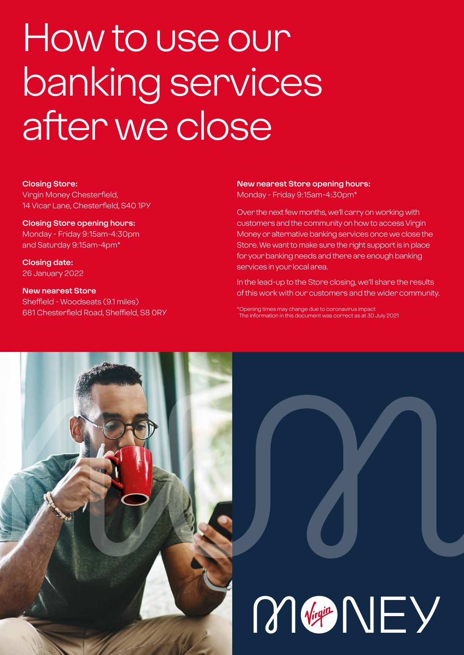# How to use our banking services after we close

#### **Closing Store:**

Virgin Money Chesterfield, 14 Vicar Lane, Chesterfield, S40 1PY

#### **Closing Store opening hours:**

Monday - Friday 9:15am-4:30pm and Saturday 9:15am-4pm\*

**Closing date:**  26 January 2022

#### **New nearest Store** Sheffield - Woodseats (9.1 miles)

681 Chesterfield Road, Sheffield, S8 0RY

#### **New nearest Store opening hours:** Monday - Friday 9:15am-4:30pm\*

Over the next few months, we'll carry on working with customers and the community on how to access Virgin Money or alternative banking services once we close the Store. We want to make sure the right support is in place for your banking needs and there are enough banking services in your local area.

In the lead-up to the Store closing, we'll share the results of this work with our customers and the wider community.

\*Opening times may change due to coronavirus impact The information in this document was correct as at 30 July 2021

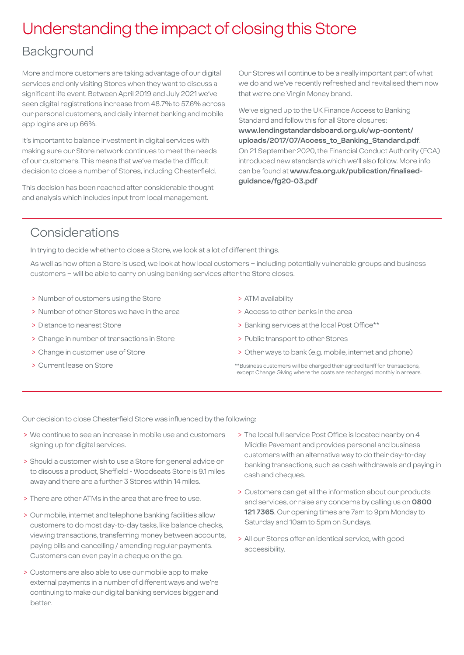### Understanding the impact of closing this Store

### Background

More and more customers are taking advantage of our digital services and only visiting Stores when they want to discuss a significant life event. Between April 2019 and July 2021 we've seen digital registrations increase from 48.7% to 57.6% across our personal customers, and daily internet banking and mobile app logins are up 66%.

It's important to balance investment in digital services with making sure our Store network continues to meet the needs of our customers. This means that we've made the difficult decision to close a number of Stores, including Chesterfield.

This decision has been reached after considerable thought and analysis which includes input from local management.

Our Stores will continue to be a really important part of what we do and we've recently refreshed and revitalised them now that we're one Virgin Money brand.

We've signed up to the UK Finance Access to Banking Standard and follow this for all Store closures: **[www.lendingstandardsboard.org.uk/wp-content/](http://www.lendingstandardsboard.org.uk/wp-content/uploads/2017/07/Access_to_Banking_Standard.pdf) [uploads/2017/07/Access\\_to\\_Banking\\_Standard.pdf](http://www.lendingstandardsboard.org.uk/wp-content/uploads/2017/07/Access_to_Banking_Standard.pdf)**. On 21 September 2020, the Financial Conduct Authority (FCA) introduced new standards which we'll also follow. More info can be found at **[www.fca.org.uk/publication/finalised](http://www.fca.org.uk/publication/finalised-guidance/fg20-03.pdf)[guidance/fg20-03.pdf](http://www.fca.org.uk/publication/finalised-guidance/fg20-03.pdf)**

### Considerations

In trying to decide whether to close a Store, we look at a lot of different things.

As well as how often a Store is used, we look at how local customers – including potentially vulnerable groups and business customers – will be able to carry on using banking services after the Store closes.

- > Number of customers using the Store
- > Number of other Stores we have in the area
- > Distance to nearest Store
- > Change in number of transactions in Store
- > Change in customer use of Store
- > Current lease on Store
- > ATM availability
- > Access to other banks in the area
- > Banking services at the local Post Office\*\*
- > Public transport to other Stores
- > Other ways to bank (e.g. mobile, internet and phone)
- \*\*Business customers will be charged their agreed tariff for transactions, except Change Giving where the costs are recharged monthly in arrears.

Our decision to close Chesterfield Store was influenced by the following:

- > We continue to see an increase in mobile use and customers signing up for digital services.
- > Should a customer wish to use a Store for general advice or to discuss a product, Sheffield - Woodseats Store is 9.1 miles away and there are a further 3 Stores within 14 miles.
- > There are other ATMs in the area that are free to use.
- > Our mobile, internet and telephone banking facilities allow customers to do most day-to-day tasks, like balance checks, viewing transactions, transferring money between accounts, paying bills and cancelling / amending regular payments. Customers can even pay in a cheque on the go.
- > Customers are also able to use our mobile app to make external payments in a number of different ways and we're continuing to make our digital banking services bigger and better.
- > The local full service Post Office is located nearby on 4 Middle Pavement and provides personal and business customers with an alternative way to do their day-to-day banking transactions, such as cash withdrawals and paying in cash and cheques.
- > Customers can get all the information about our products and services, or raise any concerns by calling us on **0800 121 7365**. Our opening times are 7am to 9pm Monday to Saturday and 10am to 5pm on Sundays.
- > All our Stores offer an identical service, with good accessibility.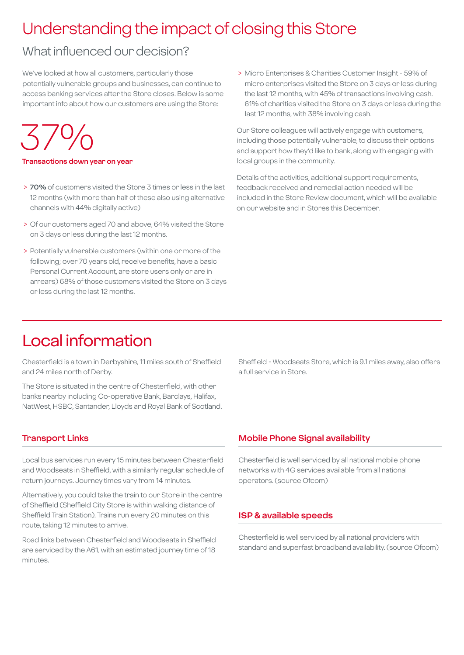### Understanding the impact of closing this Store

### What influenced our decision?

We've looked at how all customers, particularly those potentially vulnerable groups and businesses, can continue to access banking services after the Store closes. Below is some important info about how our customers are using the Store:

37%

#### **Transactions down year on year**

- > **70%** of customers visited the Store 3 times or less in the last 12 months (with more than half of these also using alternative channels with 44% digitally active)
- > Of our customers aged 70 and above, 64% visited the Store on 3 days or less during the last 12 months.
- > Potentially vulnerable customers (within one or more of the following; over 70 years old, receive benefits, have a basic Personal Current Account, are store users only or are in arrears) 68% of those customers visited the Store on 3 days or less during the last 12 months.

 > Micro Enterprises & Charities Customer Insight - 59% of micro enterprises visited the Store on 3 days or less during the last 12 months, with 45% of transactions involving cash. 61% of charities visited the Store on 3 days or less during the last 12 months, with 38% involving cash.

Our Store colleagues will actively engage with customers, including those potentially vulnerable, to discuss their options and support how they'd like to bank, along with engaging with local groups in the community.

Details of the activities, additional support requirements, feedback received and remedial action needed will be included in the Store Review document, which will be available on our website and in Stores this December.

### Local information

Chesterfield is a town in Derbyshire, 11 miles south of Sheffield and 24 miles north of Derby.

The Store is situated in the centre of Chesterfield, with other banks nearby including Co-operative Bank, Barclays, Halifax, NatWest, HSBC, Santander, Lloyds and Royal Bank of Scotland. Sheffield - Woodseats Store, which is 9.1 miles away, also offers a full service in Store.

#### **Transport Links**

Local bus services run every 15 minutes between Chesterfield and Woodseats in Sheffield, with a similarly regular schedule of return journeys. Journey times vary from 14 minutes.

Alternatively, you could take the train to our Store in the centre of Sheffield (Sheffield City Store is within walking distance of Sheffield Train Station). Trains run every 20 minutes on this route, taking 12 minutes to arrive.

Road links between Chesterfield and Woodseats in Sheffield are serviced by the A61, with an estimated journey time of 18 minutes.

#### **Mobile Phone Signal availability**

Chesterfield is well serviced by all national mobile phone networks with 4G services available from all national operators. (source Ofcom)

#### **ISP & available speeds**

Chesterfield is well serviced by all national providers with standard and superfast broadband availability. (source Ofcom)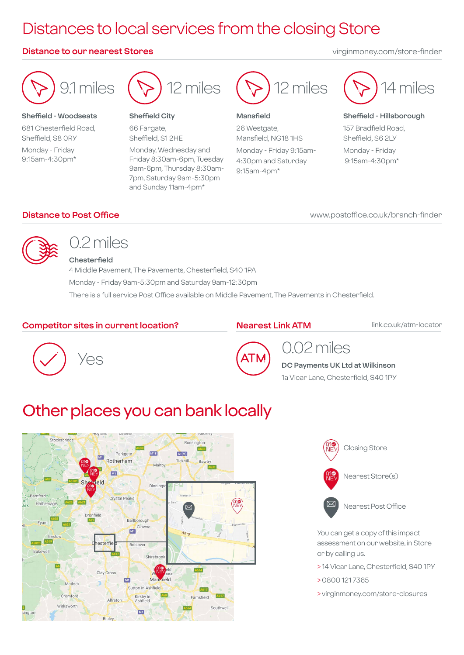## Distances to local services from the closing Store

#### **Distance to our nearest Stores** virginmoney.com/store-finder

9.1 miles

12 miles

#### **Sheffield City**

66 Fargate, Sheffield, S1 2HE Monday, Wednesday and Friday 8:30am-6pm, Tuesday 9am-6pm, Thursday 8:30am-7pm, Saturday 9am-5:30pm and Sunday 11am-4pm\*



#### **Mansfield**

26 Westgate, Mansfield, NG18 1HS Monday - Friday 9:15am-4:30pm and Saturday 9:15am-4pm\*



**Sheffield - Hillsborough** 157 Bradfield Road, Sheffield, S6 2LY Monday - Friday 9:15am-4:30pm\*

www.postoffice.co.uk/branch-finder

#### **Distance to Post Office**

**Sheffield - Woodseats** 681 Chesterfield Road, Sheffield, S8 0RY Monday - Friday 9:15am-4:30pm\*



## 0.2 miles

**Chesterfield** 4 Middle Pavement, The Pavements, Chesterfield, S40 1PA Monday - Friday 9am-5:30pm and Saturday 9am-12:30pm There is a full service Post Office available on Middle Pavement, The Pavements in Chesterfield.

#### **Competitor sites in current location?**

#### **Nearest Link ATM**

link.co.uk/atm-locator





### 0.02 miles

**DC Payments UK Ltd at Wilkinson**

1a Vicar Lane, Chesterfield, S40 1PY

### Other places you can bank locally





Nearest Post Office

You can get a copy of this impact assessment on our website, in Store or by calling us.

- > 14 Vicar Lane, Chesterfield, S40 1PY
- > 0800 121 7365
- > virginmoney.com/store-closures